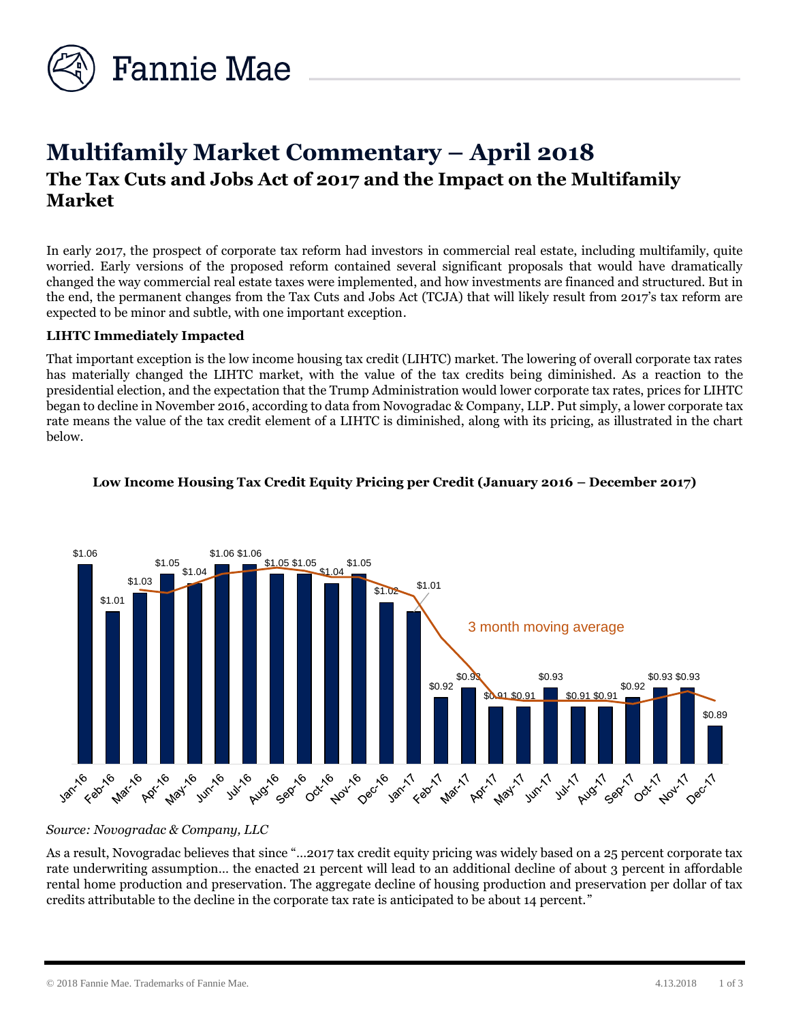

# **Multifamily Market Commentary – April 2018 The Tax Cuts and Jobs Act of 2017 and the Impact on the Multifamily Market**

In early 2017, the prospect of corporate tax reform had investors in commercial real estate, including multifamily, quite worried. Early versions of the proposed reform contained several significant proposals that would have dramatically changed the way commercial real estate taxes were implemented, and how investments are financed and structured. But in the end, the permanent changes from the Tax Cuts and Jobs Act (TCJA) that will likely result from 2017's tax reform are expected to be minor and subtle, with one important exception.

## **LIHTC Immediately Impacted**

That important exception is the low income housing tax credit (LIHTC) market. The lowering of overall corporate tax rates has materially changed the LIHTC market, with the value of the tax credits being diminished. As a reaction to the presidential election, and the expectation that the Trump Administration would lower corporate tax rates, prices for LIHTC began to decline in November 2016, according to data from Novogradac & Company, LLP. Put simply, a lower corporate tax rate means the value of the tax credit element of a LIHTC is diminished, along with its pricing, as illustrated in the chart below.



## **Low Income Housing Tax Credit Equity Pricing per Credit (January 2016 – December 2017)**

*Source: Novogradac & Company, LLC* 

As a result, Novogradac believes that since "…2017 tax credit equity pricing was widely based on a 25 percent corporate tax rate underwriting assumption… the enacted 21 percent will lead to an additional decline of about 3 percent in affordable rental home production and preservation. The aggregate decline of housing production and preservation per dollar of tax credits attributable to the decline in the corporate tax rate is anticipated to be about 14 percent."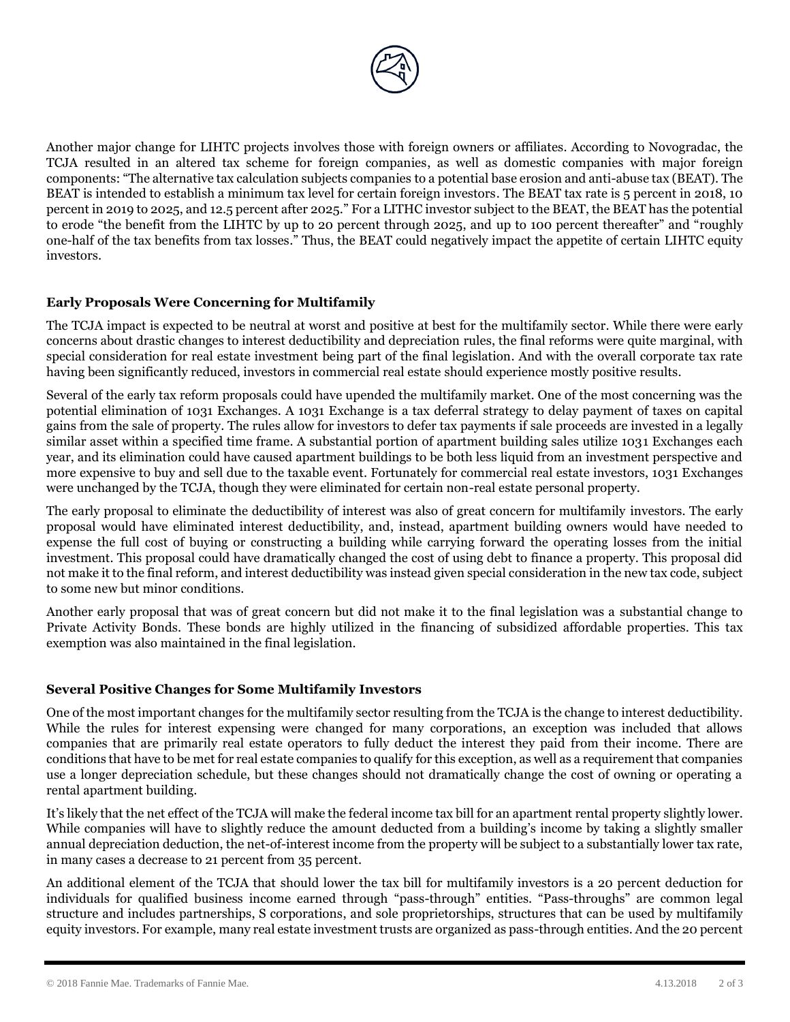

Another major change for LIHTC projects involves those with foreign owners or affiliates. According to Novogradac, the TCJA resulted in an altered tax scheme for foreign companies, as well as domestic companies with major foreign components: "The alternative tax calculation subjects companies to a potential base erosion and anti-abuse tax (BEAT). The BEAT is intended to establish a minimum tax level for certain foreign investors. The BEAT tax rate is 5 percent in 2018, 10 percent in 2019 to 2025, and 12.5 percent after 2025." For a LITHC investor subject to the BEAT, the BEAT has the potential to erode "the benefit from the LIHTC by up to 20 percent through 2025, and up to 100 percent thereafter" and "roughly one-half of the tax benefits from tax losses." Thus, the BEAT could negatively impact the appetite of certain LIHTC equity investors.

# **Early Proposals Were Concerning for Multifamily**

The TCJA impact is expected to be neutral at worst and positive at best for the multifamily sector. While there were early concerns about drastic changes to interest deductibility and depreciation rules, the final reforms were quite marginal, with special consideration for real estate investment being part of the final legislation. And with the overall corporate tax rate having been significantly reduced, investors in commercial real estate should experience mostly positive results.

Several of the early tax reform proposals could have upended the multifamily market. One of the most concerning was the potential elimination of 1031 Exchanges. A 1031 Exchange is a tax deferral strategy to delay payment of taxes on capital gains from the sale of property. The rules allow for investors to defer tax payments if sale proceeds are invested in a legally similar asset within a specified time frame. A substantial portion of apartment building sales utilize 1031 Exchanges each year, and its elimination could have caused apartment buildings to be both less liquid from an investment perspective and more expensive to buy and sell due to the taxable event. Fortunately for commercial real estate investors, 1031 Exchanges were unchanged by the TCJA, though they were eliminated for certain non-real estate personal property.

The early proposal to eliminate the deductibility of interest was also of great concern for multifamily investors. The early proposal would have eliminated interest deductibility, and, instead, apartment building owners would have needed to expense the full cost of buying or constructing a building while carrying forward the operating losses from the initial investment. This proposal could have dramatically changed the cost of using debt to finance a property. This proposal did not make it to the final reform, and interest deductibility was instead given special consideration in the new tax code, subject to some new but minor conditions.

Another early proposal that was of great concern but did not make it to the final legislation was a substantial change to Private Activity Bonds. These bonds are highly utilized in the financing of subsidized affordable properties. This tax exemption was also maintained in the final legislation.

#### **Several Positive Changes for Some Multifamily Investors**

One of the most important changes for the multifamily sector resulting from the TCJA is the change to interest deductibility. While the rules for interest expensing were changed for many corporations, an exception was included that allows companies that are primarily real estate operators to fully deduct the interest they paid from their income. There are conditions that have to be met for real estate companies to qualify for this exception, as well as a requirement that companies use a longer depreciation schedule, but these changes should not dramatically change the cost of owning or operating a rental apartment building.

It's likely that the net effect of the TCJA will make the federal income tax bill for an apartment rental property slightly lower. While companies will have to slightly reduce the amount deducted from a building's income by taking a slightly smaller annual depreciation deduction, the net-of-interest income from the property will be subject to a substantially lower tax rate, in many cases a decrease to 21 percent from 35 percent.

An additional element of the TCJA that should lower the tax bill for multifamily investors is a 20 percent deduction for individuals for qualified business income earned through "pass-through" entities. "Pass-throughs" are common legal structure and includes partnerships, S corporations, and sole proprietorships, structures that can be used by multifamily equity investors. For example, many real estate investment trusts are organized as pass-through entities. And the 20 percent